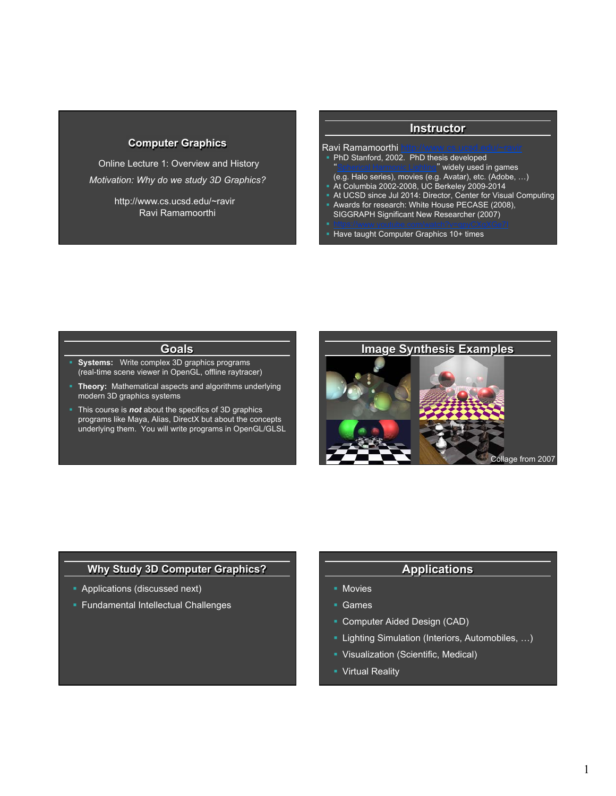## **Computer Graphics**

 Online Lecture 1: Overview and History *Motivation: Why do we study 3D Graphics?* 

> Ravi Ramamoorthi http://www.cs.ucsd.edu/~ravir

### **Instructor**  Ravi Ramamoorthi • PhD Stanford, 2002. PhD thesis developed widely used in games (e.g. Halo series), movies (e.g. Avatar), etc. (Adobe, …) § At Columbia 2002-2008, UC Berkeley 2009-2014 • At UCSD since Jul 2014: Director, Center for Visual Computing § Awards for research: White House PECASE (2008), SIGGRAPH Significant New Researcher (2007) § Have taught Computer Graphics 10+ times

# **Goals**

- § **Systems:** Write complex 3D graphics programs (real-time scene viewer in OpenGL, offline raytracer)
- § **Theory:** Mathematical aspects and algorithms underlying modern 3D graphics systems
- § This course is *not* about the specifics of 3D graphics programs like Maya, Alias, DirectX but about the concepts underlying them. You will write programs in OpenGL/GLSL



## **Why Study 3D Computer Graphics?**

- **Applications (discussed next)**
- § Fundamental Intellectual Challenges

# **Applications**

- § Movies
- § Games
- § Computer Aided Design (CAD)
- **Lighting Simulation (Interiors, Automobiles, ...)**
- § Visualization (Scientific, Medical)
- Virtual Reality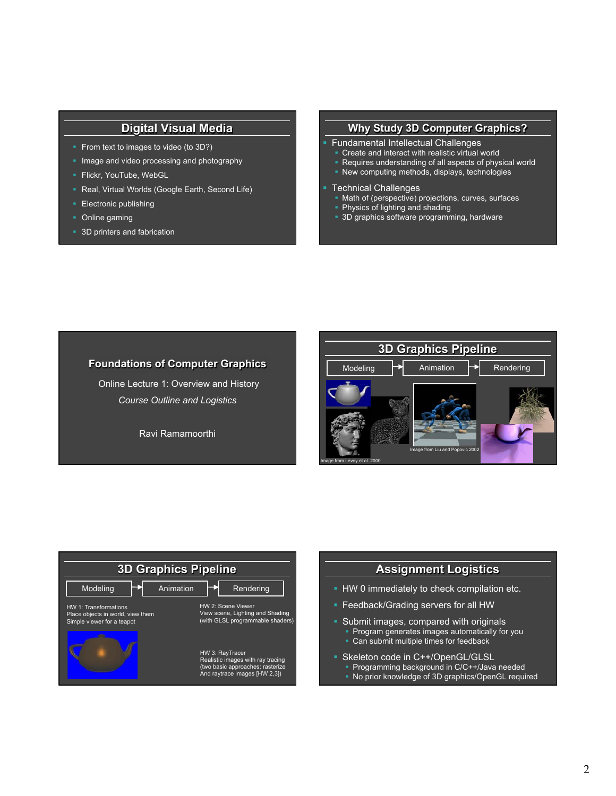# **Digital Visual Media**

- § From text to images to video (to 3D?)
- Image and video processing and photography
- § Flickr, YouTube, WebGL
- Real, Virtual Worlds (Google Earth, Second Life)
- **Electronic publishing**
- Online gaming
- § 3D printers and fabrication

#### **Why Study 3D Computer Graphics?**

- § Fundamental Intellectual Challenges
- § Create and interact with realistic virtual world
- Requires understanding of all aspects of physical world
- § New computing methods, displays, technologies

#### § Technical Challenges

- Math of (perspective) projections, curves, surfaces
- § Physics of lighting and shading
- 3D graphics software programming, hardware

## **Foundations of Computer Graphics**

 Online Lecture 1: Overview and History *Course Outline and Logistics* 

Ravi Ramamoorthi







§ No prior knowledge of 3D graphics/OpenGL required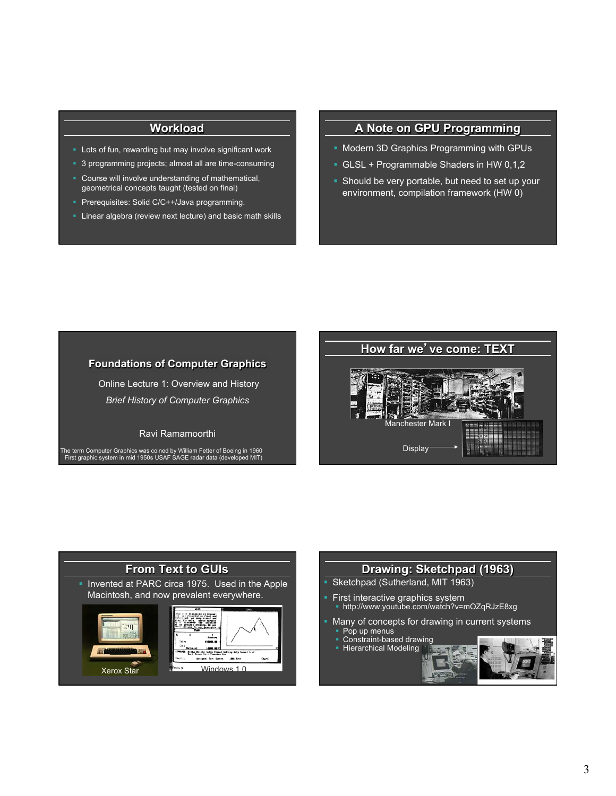# **Workload**

- Lots of fun, rewarding but may involve significant work
- § 3 programming projects; almost all are time-consuming
- Course will involve understanding of mathematical, geometrical concepts taught (tested on final)
- Prerequisites: Solid C/C++/Java programming.
- § Linear algebra (review next lecture) and basic math skills

# **A Note on GPU Programming**

- § Modern 3D Graphics Programming with GPUs
- § GLSL + Programmable Shaders in HW 0,1,2
- Should be very portable, but need to set up your environment, compilation framework (HW 0)

## **Foundations of Computer Graphics**

 Online Lecture 1: Overview and History *Brief History of Computer Graphics* 

#### Ravi Ramamoorthi

The term Computer Graphics was coined by William Fetter of Boeing in 1960 First graphic system in mid 1950s USAF SAGE radar data (developed MIT)





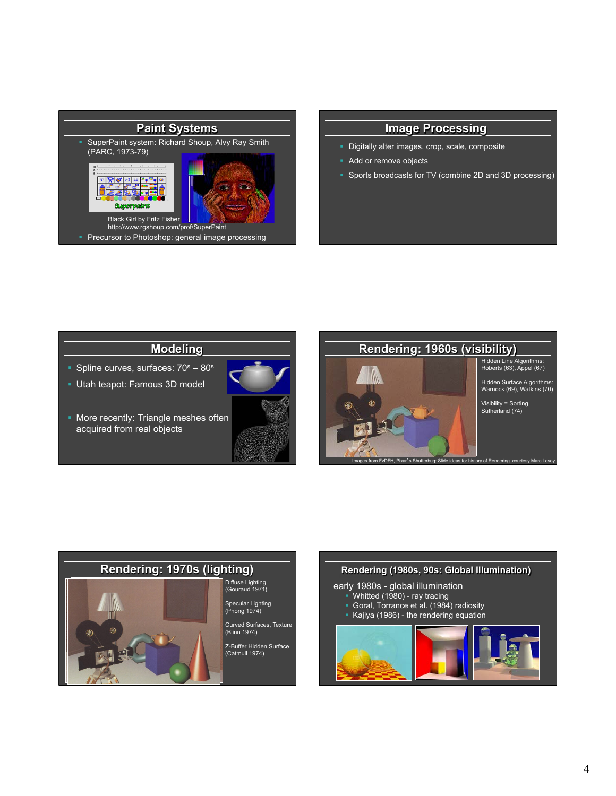

#### **Image Processing**

- § Digitally alter images, crop, scale, composite
- Add or remove objects
- § Sports broadcasts for TV (combine 2D and 3D processing)

# **Modeling**

- § Spline curves, surfaces: 70s 80s
- § Utah teapot: Famous 3D model
- § More recently: Triangle meshes often acquired from real objects





Images from FvDFH, Pixar's Shutterbug: Slide ideas for history of Rendering courtesy Marc Levoy

# **Rendering: 1970s (lighting)**  Diffuse Lighting (Gouraud 1971) Specular Lighting (Phong 1974) Curved Surfaces, Texture (Blinn 1974) Z-Buffer Hidden Surface (Catmull 1974)